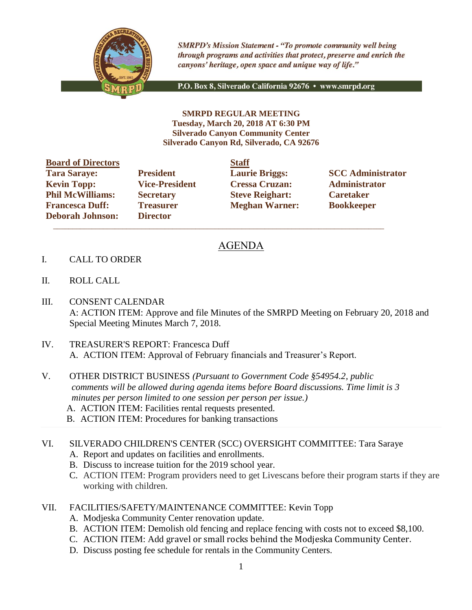

**SMRPD's Mission Statement - "To promote community well being** through programs and activities that protect, preserve and enrich the canyons' heritage, open space and unique way of life."

P.O. Box 8, Silverado California 92676 · www.smrpd.org

**SMRPD REGULAR MEETING Tuesday, March 20, 2018 AT 6:30 PM Silverado Canyon Community Center Silverado Canyon Rd, Silverado, CA 92676**

| <b>Board of Directors</b> |                       | <b>Staff</b> |
|---------------------------|-----------------------|--------------|
| <b>Tara Saraye:</b>       | <b>President</b>      | Laur         |
| <b>Kevin Topp:</b>        | <b>Vice-President</b> | <b>Cres</b>  |
| <b>Phil McWilliams:</b>   | <b>Secretary</b>      | <b>Steve</b> |
| <b>Francesca Duff:</b>    | <b>Treasurer</b>      | Megl         |
| <b>Deborah Johnson:</b>   | <b>Director</b>       |              |

**Director**  $\mathcal{L}_\text{max}$  , and the set of the set of the set of the set of the set of the set of the set of the set of the set of the set of the set of the set of the set of the set of the set of the set of the set of the set of the

**Kevin Topp: Vice-President Cressa Cruzan: Administrator Philo McGive Reighart: Philosopherene Caretaker Freasurer Meghan Warner: Bookkeeper** 

**Tarages: President Laurie Briggs: SCC Administrator** 

## AGENDA

- I. CALL TO ORDER
- II. ROLL CALL
- III. CONSENT CALENDAR A: ACTION ITEM: Approve and file Minutes of the SMRPD Meeting on February 20, 2018 and Special Meeting Minutes March 7, 2018.
- IV. TREASURER'S REPORT: Francesca Duff A. ACTION ITEM: Approval of February financials and Treasurer's Report.
- V. OTHER DISTRICT BUSINESS *(Pursuant to Government Code §54954.2, public comments will be allowed during agenda items before Board discussions. Time limit is 3 minutes per person limited to one session per person per issue.)*
	- A. ACTION ITEM: Facilities rental requests presented.
	- B. ACTION ITEM: Procedures for banking transactions

VI. SILVERADO CHILDREN'S CENTER (SCC) OVERSIGHT COMMITTEE: Tara Saraye A. Report and updates on facilities and enrollments.

- B. Discuss to increase tuition for the 2019 school year.
- C. ACTION ITEM: Program providers need to get Livescans before their program starts if they are working with children.
- VII. FACILITIES/SAFETY/MAINTENANCE COMMITTEE: Kevin Topp
	- A. Modjeska Community Center renovation update.
	- B. ACTION ITEM: Demolish old fencing and replace fencing with costs not to exceed \$8,100.
	- C. ACTION ITEM: Add gravel or small rocks behind the Modjeska Community Center.
	- D. Discuss posting fee schedule for rentals in the Community Centers.